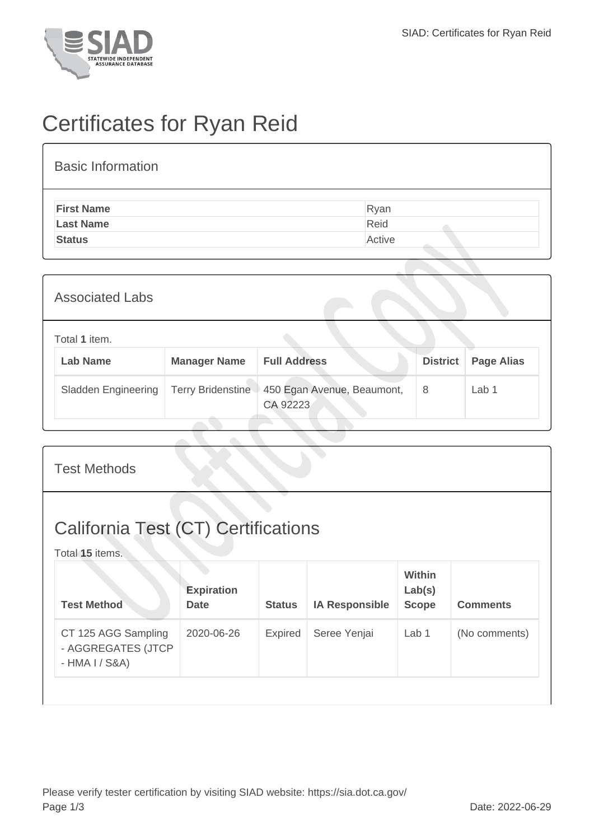

## Certificates for Ryan Reid

## Basic Information **First Name** Ryan Last Name **Reid Status** Active

| <b>Associated Labs</b> |                                  |                          |                                        |                 |                   |  |  |
|------------------------|----------------------------------|--------------------------|----------------------------------------|-----------------|-------------------|--|--|
|                        | Total 1 item.<br><b>Lab Name</b> | <b>Manager Name</b>      | <b>Full Address</b>                    | <b>District</b> | <b>Page Alias</b> |  |  |
|                        | <b>Sladden Engineering</b>       | <b>Terry Bridenstine</b> | 450 Egan Avenue, Beaumont,<br>CA 92223 | 8               | Lab 1             |  |  |

| <b>Test Methods</b>                                           |                                  |                |                       |                                         |                 |  |  |
|---------------------------------------------------------------|----------------------------------|----------------|-----------------------|-----------------------------------------|-----------------|--|--|
| <b>California Test (CT) Certifications</b><br>Total 15 items. |                                  |                |                       |                                         |                 |  |  |
| <b>Test Method</b>                                            | <b>Expiration</b><br><b>Date</b> | <b>Status</b>  | <b>IA Responsible</b> | <b>Within</b><br>Lab(s)<br><b>Scope</b> | <b>Comments</b> |  |  |
| CT 125 AGG Sampling<br>- AGGREGATES (JTCP<br>- HMA I / S&A)   | 2020-06-26                       | <b>Expired</b> | Seree Yenjai          | Lab <sub>1</sub>                        | (No comments)   |  |  |
|                                                               |                                  |                |                       |                                         |                 |  |  |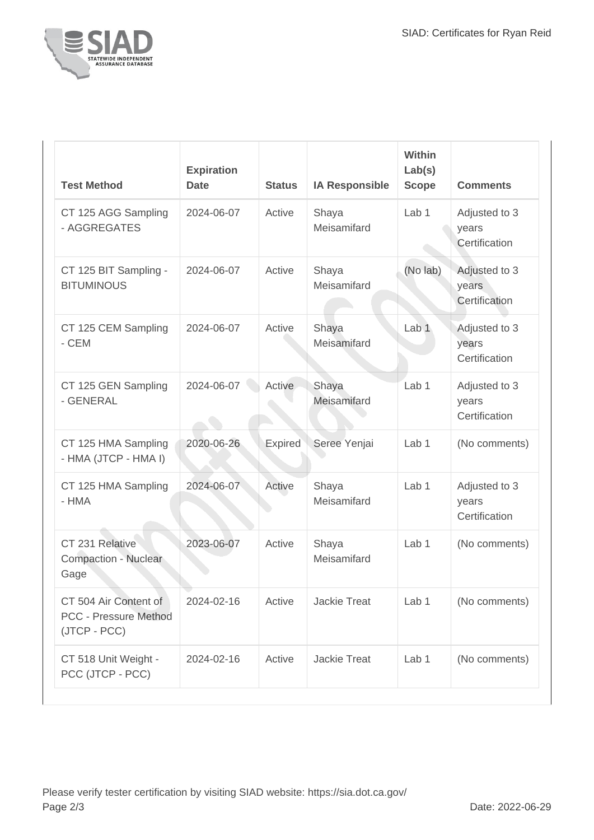

| <b>Test Method</b>                                                    | <b>Expiration</b><br><b>Date</b> | <b>Status</b> | <b>IA Responsible</b> | <b>Within</b><br>Lab(s)<br><b>Scope</b> | <b>Comments</b>                         |
|-----------------------------------------------------------------------|----------------------------------|---------------|-----------------------|-----------------------------------------|-----------------------------------------|
| CT 125 AGG Sampling<br>- AGGREGATES                                   | 2024-06-07                       | Active        | Shaya<br>Meisamifard  | Lab <sub>1</sub>                        | Adjusted to 3<br>years<br>Certification |
| CT 125 BIT Sampling -<br><b>BITUMINOUS</b>                            | 2024-06-07                       | Active        | Shaya<br>Meisamifard  | (No lab)                                | Adjusted to 3<br>years<br>Certification |
| CT 125 CEM Sampling<br>- CEM                                          | 2024-06-07                       | Active        | Shaya<br>Meisamifard  | Lab <sub>1</sub>                        | Adjusted to 3<br>years<br>Certification |
| CT 125 GEN Sampling<br>- GENERAL                                      | 2024-06-07                       | Active        | Shaya<br>Meisamifard  | Lab <sub>1</sub>                        | Adjusted to 3<br>years<br>Certification |
| CT 125 HMA Sampling<br>- HMA (JTCP - HMA I)                           | 2020-06-26                       | Expired       | Seree Yenjai          | Lab 1                                   | (No comments)                           |
| CT 125 HMA Sampling<br>- HMA                                          | 2024-06-07                       | Active        | Shaya<br>Meisamifard  | Lab 1                                   | Adjusted to 3<br>years<br>Certification |
| CT 231 Relative<br><b>Compaction - Nuclear</b><br>Gage                | 2023-06-07                       | Active        | Shaya<br>Meisamifard  | Lab 1                                   | (No comments)                           |
| CT 504 Air Content of<br><b>PCC - Pressure Method</b><br>(JTCP - PCC) | 2024-02-16                       | Active        | <b>Jackie Treat</b>   | Lab <sub>1</sub>                        | (No comments)                           |
| CT 518 Unit Weight -<br>PCC (JTCP - PCC)                              | 2024-02-16                       | Active        | <b>Jackie Treat</b>   | Lab 1                                   | (No comments)                           |